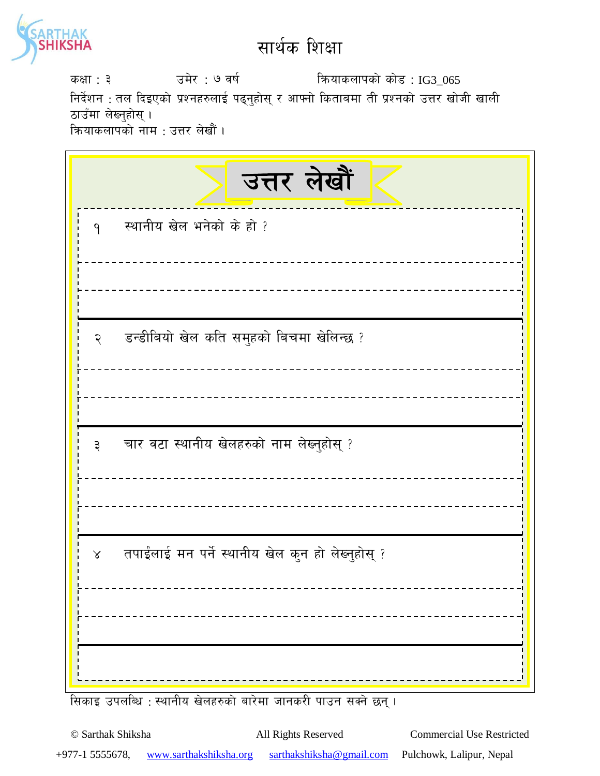

sIff : # pd]/ : & jif{ lqmofsnfksf] sf]8 : IG3\_065 निर्देशन : तल दिइएको प्रश्नहरुलाई पढ्नुहोस् र आफ्नो किताबमा ती प्रश्नको उत्तर खोजी खाली ठाउँमा लेख्नुहोस् । कियाकलापको नाम : उत्तर लेखौं ।

| उत्तर लेखौं                                                   |
|---------------------------------------------------------------|
| स्थानीय खेल भनेको के हो ?<br>$\mathsf{P}$                     |
|                                                               |
| २ डन्डीबियो खेल कति समुहको बिचमा खेलिन्छ ?                    |
|                                                               |
| चार वटा स्थानीय खेलहरुको नाम लेख्नुहोस् ?<br>३                |
|                                                               |
| तपाईलाई मन पर्ने स्थानीय खेल कुन हो लेख्नुहोस् ?<br>$\lambda$ |
|                                                               |
|                                                               |

सिकाइ उपलब्धि : स्थानीय खेलहरुको बारेमा जानकरी पाउन सक्ने छन् ।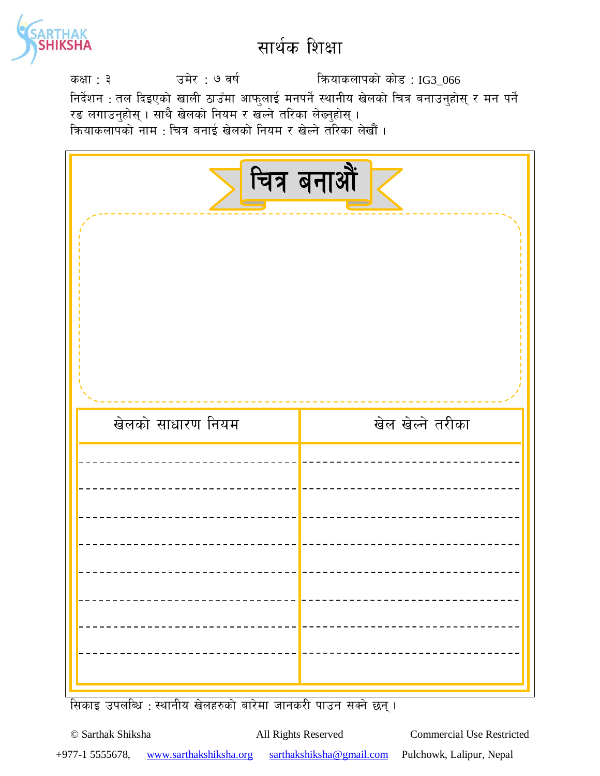

sIff : # pd]/ : & jif{ lqmofsnfksf] sf]8 : IG3\_066 निर्देशन : तल दिइएको खाली ठाउँमा आफुलाई मनपर्ने स्थानीय खेलको चित्र बनाउनुहोस् र मन पर्ने रङ लगाउनुहोस् । साथै खेलको नियम र खल्ने तरिका लेख्नुहोस् । कियाकलापको नाम : चित्र बनाई खेलको नियम र खेल्ने तरिका लेखौं ।

| चित्र बनाओं<br>$\sim$ |                  |  |
|-----------------------|------------------|--|
| खेलको साधारण नियम     | खेल खेल्ने तरीका |  |
|                       |                  |  |
|                       |                  |  |
|                       |                  |  |
|                       |                  |  |
|                       |                  |  |
|                       |                  |  |

सिकाइ उपलब्धि : स्थानीय खेलहरुको बारेमा जानकरी पाउन सक्ने छन् ।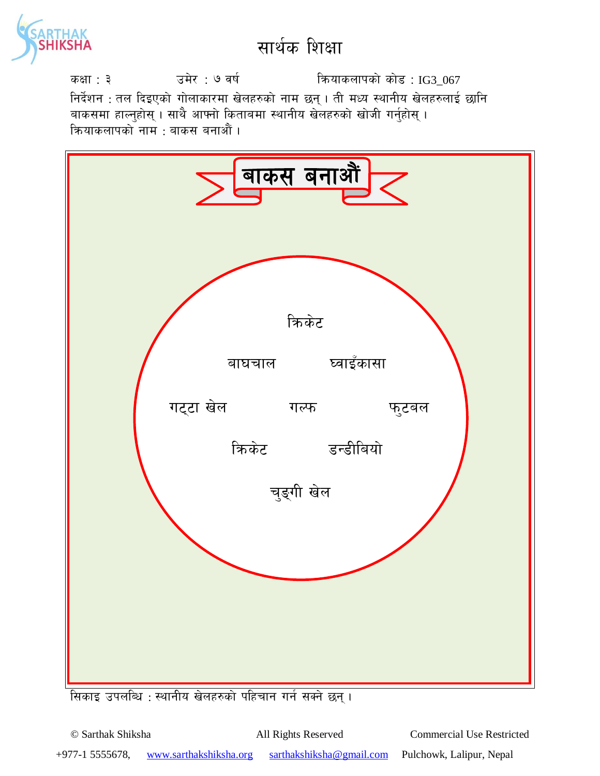

sIff : # pd]/ : & jif{ lqmofsnfksf] sf]8 : IG3\_067 निर्देशन : तल दिइएको गोलाकारमा खेलहरुको नाम छन् । ती मध्य स्थानीय खेलहरुलाई छानि बाकसमा हाल्नुहोस् । साथै आफ्नो किताबमा स्थानीय खेलहरुको खोजी गर्नुहोस् । क्रियाकलापको नाम : बाकस बनाऔं ।



सिकाइ उपलब्धि : स्थानीय खेलहरुको पहिचान गर्न सक्ने छन् ।